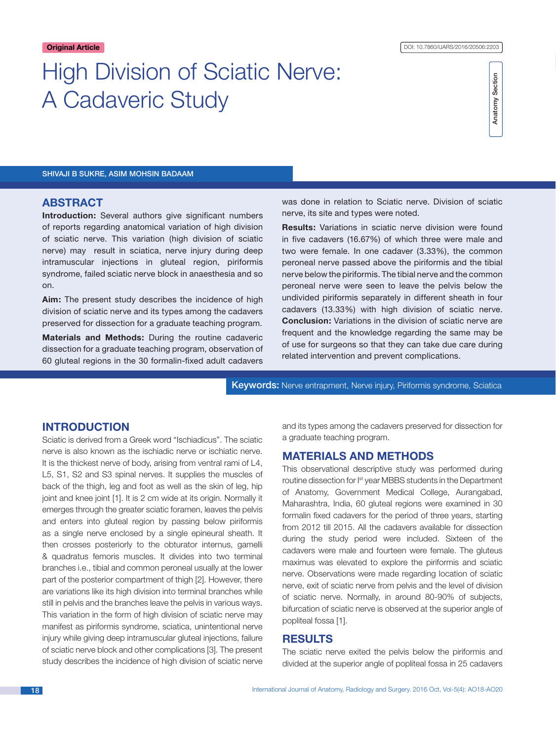# High Division of Sciatic Nerve: A Cadaveric Study



Shivaji B Sukre, Asim Mohsin Badaam

### **ABSTRACT**

**Introduction:** Several authors give significant numbers of reports regarding anatomical variation of high division of sciatic nerve. This variation (high division of sciatic nerve) may result in sciatica, nerve injury during deep intramuscular injections in gluteal region, piriformis syndrome, failed sciatic nerve block in anaesthesia and so on.

**Aim:** The present study describes the incidence of high division of sciatic nerve and its types among the cadavers preserved for dissection for a graduate teaching program.

**Materials and Methods:** During the routine cadaveric dissection for a graduate teaching program, observation of 60 gluteal regions in the 30 formalin-fixed adult cadavers was done in relation to Sciatic nerve. Division of sciatic nerve, its site and types were noted.

**Results:** Variations in sciatic nerve division were found in five cadavers (16.67%) of which three were male and two were female. In one cadaver (3.33%), the common peroneal nerve passed above the piriformis and the tibial nerve below the piriformis. The tibial nerve and the common peroneal nerve were seen to leave the pelvis below the undivided piriformis separately in different sheath in four cadavers (13.33%) with high division of sciatic nerve. **Conclusion:** Variations in the division of sciatic nerve are frequent and the knowledge regarding the same may be of use for surgeons so that they can take due care during related intervention and prevent complications.

Keywords: Nerve entrapment, Nerve injury, Piriformis syndrome, Sciatica

# **INTRODUCTION**

Sciatic is derived from a Greek word "Ischiadicus". The sciatic nerve is also known as the ischiadic nerve or ischiatic nerve. It is the thickest nerve of body, arising from ventral rami of L4, L5, S1, S2 and S3 spinal nerves. It supplies the muscles of back of the thigh, leg and foot as well as the skin of leg, hip joint and knee joint [1]. It is 2 cm wide at its origin. Normally it emerges through the greater sciatic foramen, leaves the pelvis and enters into gluteal region by passing below piriformis as a single nerve enclosed by a single epineural sheath. It then crosses posteriorly to the obturator internus, gamelli & quadratus femoris muscles. It divides into two terminal branches i.e., tibial and common peroneal usually at the lower part of the posterior compartment of thigh [2]. However, there are variations like its high division into terminal branches while still in pelvis and the branches leave the pelvis in various ways. This variation in the form of high division of sciatic nerve may manifest as piriformis syndrome, sciatica, unintentional nerve injury while giving deep intramuscular gluteal injections, failure of sciatic nerve block and other complications [3]. The present study describes the incidence of high division of sciatic nerve and its types among the cadavers preserved for dissection for a graduate teaching program.

# **Materials and Methods**

This observational descriptive study was performed during routine dissection for I<sup>st</sup> year MBBS students in the Department of Anatomy, Government Medical College, Aurangabad, Maharashtra, India, 60 gluteal regions were examined in 30 formalin fixed cadavers for the period of three years, starting from 2012 till 2015. All the cadavers available for dissection during the study period were included. Sixteen of the cadavers were male and fourteen were female. The gluteus maximus was elevated to explore the piriformis and sciatic nerve. Observations were made regarding location of sciatic nerve, exit of sciatic nerve from pelvis and the level of division of sciatic nerve. Normally, in around 80-90% of subjects, bifurcation of sciatic nerve is observed at the superior angle of popliteal fossa [1].

# **Results**

The sciatic nerve exited the pelvis below the piriformis and divided at the superior angle of popliteal fossa in 25 cadavers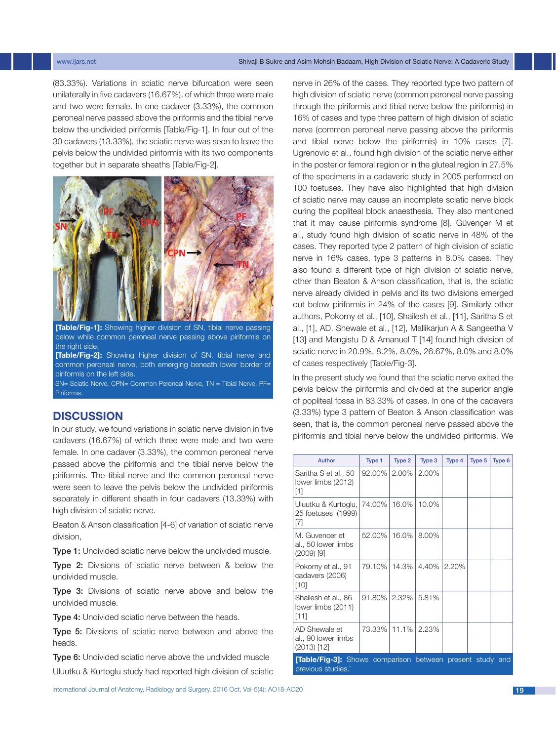#### www.ijars.net Shivaji B Sukre and Asim Mohsin Badaam, High Division of Sciatic Nerve: A Cadaveric Study China

(83.33%). Variations in sciatic nerve bifurcation were seen unilaterally in five cadavers (16.67%), of which three were male and two were female. In one cadaver (3.33%), the common peroneal nerve passed above the piriformis and the tibial nerve below the undivided piriformis [Table/Fig-1]. In four out of the 30 cadavers (13.33%), the sciatic nerve was seen to leave the pelvis below the undivided piriformis with its two components together but in separate sheaths [Table/Fig-2].



**[Table/Fig-1]:** Showing higher division of SN, tibial nerve passing below while common peroneal nerve passing above piriformis on the right side.

**[Table/Fig-2]:** Showing higher division of SN, tibial nerve and common peroneal nerve, both emerging beneath lower border of piriformis on the left side.

SN= Sciatic Nerve, CPN= Common Peroneal Nerve, TN = Tibial Nerve, PF= Piriformis.

# **Discussion**

In our study, we found variations in sciatic nerve division in five cadavers (16.67%) of which three were male and two were female. In one cadaver (3.33%), the common peroneal nerve passed above the piriformis and the tibial nerve below the piriformis. The tibial nerve and the common peroneal nerve were seen to leave the pelvis below the undivided piriformis separately in different sheath in four cadavers (13.33%) with high division of sciatic nerve.

Beaton & Anson classification [4-6] of variation of sciatic nerve division,

Type 1: Undivided sciatic nerve below the undivided muscle.

Type 2: Divisions of sciatic nerve between & below the undivided muscle.

Type 3: Divisions of sciatic nerve above and below the undivided muscle.

**Type 4:** Undivided sciatic nerve between the heads.

Type 5: Divisions of sciatic nerve between and above the heads.

Type 6: Undivided sciatic nerve above the undivided muscle Uluutku & Kurtoglu study had reported high division of sciatic

International Journal of Anatomy, Radiology and Surgery. 2016 Oct, Vol-5(4): AO18-AO20 19

nerve in 26% of the cases. They reported type two pattern of high division of sciatic nerve (common peroneal nerve passing through the piriformis and tibial nerve below the piriformis) in 16% of cases and type three pattern of high division of sciatic nerve (common peroneal nerve passing above the piriformis and tibial nerve below the piriformis) in 10% cases [7]. Ugrenovic et al., found high division of the sciatic nerve either in the posterior femoral region or in the gluteal region in 27.5% of the specimens in a cadaveric study in 2005 performed on 100 foetuses. They have also highlighted that high division of sciatic nerve may cause an incomplete sciatic nerve block during the popliteal block anaesthesia. They also mentioned that it may cause piriformis syndrome [8]. Güvençer M et al., study found high division of sciatic nerve in 48% of the cases. They reported type 2 pattern of high division of sciatic nerve in 16% cases, type 3 patterns in 8.0% cases. They also found a different type of high division of sciatic nerve, other than Beaton & Anson classification, that is, the sciatic nerve already divided in pelvis and its two divisions emerged out below piriformis in 24% of the cases [9]. Similarly other authors, Pokorny et al., [10], Shailesh et al., [11], Saritha S et al., [1], AD. Shewale et al., [12], Mallikarjun A & Sangeetha V [13] and Mengistu D & Amanuel T [14] found high division of sciatic nerve in 20.9%, 8.2%, 8.0%, 26.67%, 8.0% and 8.0% of cases respectively [Table/Fig-3].

In the present study we found that the sciatic nerve exited the pelvis below the piriformis and divided at the superior angle of popliteal fossa in 83.33% of cases. In one of the cadavers (3.33%) type 3 pattern of Beaton & Anson classification was seen, that is, the common peroneal nerve passed above the piriformis and tibial nerve below the undivided piriformis. We

| Author                                                                                | Type 1    | Type 2 | Type 3 | Type 4 | Type 5 | Type 6 |
|---------------------------------------------------------------------------------------|-----------|--------|--------|--------|--------|--------|
| Saritha S et al., 50<br>lower limbs (2012)<br>[1]                                     | 92.00%    | 2.00%  | 2.00%  |        |        |        |
| Uluutku & Kurtoglu, I<br>25 foetuses (1999)<br>$[7]$                                  | 74.00%    | 16.0%  | 10.0%  |        |        |        |
| M. Guvencer et<br>al., 50 lower limbs<br>$(2009)$ [9]                                 | 52.00%    | 16.0%  | 8.00%  |        |        |        |
| Pokorny et al., 91<br>cadavers (2006)<br>[10]                                         | 79.10%    | 14.3%  | 4.40%  | 2.20%  |        |        |
| Shailesh et al., 86<br>lower limbs (2011)<br>[11]                                     | $91.80\%$ | 2.32%  | 5.81%  |        |        |        |
| AD Shewale et<br>al., 90 lower limbs<br>$(2013)$ [12]                                 | 73.33%    | 11.1%  | 2.23%  |        |        |        |
| <b>[Table/Fig-3]:</b> Shows comparison between present study and<br>previous studies. |           |        |        |        |        |        |